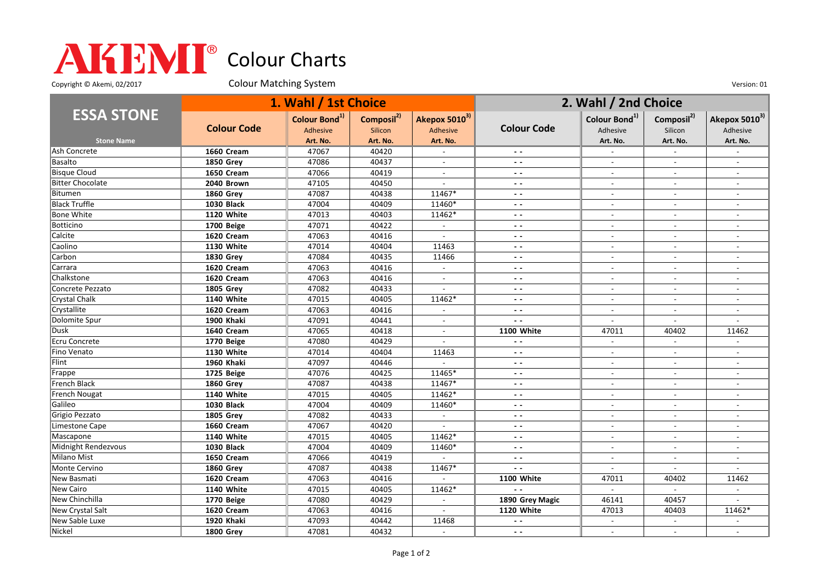## Colour Charts

Copyright © Akemi, 02/2017 Colour Matching System Colour Matching Constant Constant Out of the Version: 01

|                         | 1. Wahl / 1st Choice |                                       |                                   |                           | 2. Wahl / 2nd Choice     |                                       |                                   |                                       |
|-------------------------|----------------------|---------------------------------------|-----------------------------------|---------------------------|--------------------------|---------------------------------------|-----------------------------------|---------------------------------------|
| <b>ESSA STONE</b>       | <b>Colour Code</b>   | Colour Bond <sup>1)</sup><br>Adhesive | Composil <sup>2)</sup><br>Silicon | Akepox 50103)<br>Adhesive | <b>Colour Code</b>       | Colour Bond <sup>1)</sup><br>Adhesive | Composil <sup>2)</sup><br>Silicon | Akepox 5010 <sup>3)</sup><br>Adhesive |
| <b>Stone Name</b>       |                      | Art. No.                              | Art. No.                          | Art. No.                  |                          | Art. No.                              | Art. No.                          | Art. No.                              |
| Ash Concrete            | 1660 Cream           | 47067                                 | 40420                             |                           |                          |                                       |                                   |                                       |
| Basalto                 | <b>1850 Grev</b>     | 47086                                 | 40437                             | $\overline{a}$            | $\sim$ $\sim$            | $\overline{\phantom{a}}$              | $\sim$                            | $\overline{\phantom{a}}$              |
| <b>Bisque Cloud</b>     | 1650 Cream           | 47066                                 | 40419                             | $\overline{\phantom{a}}$  | $ -$                     | $\overline{\phantom{a}}$              | $\overline{\phantom{a}}$          | $\overline{\phantom{a}}$              |
| <b>Bitter Chocolate</b> | 2040 Brown           | 47105                                 | 40450                             | $\overline{\phantom{a}}$  | $ -$                     | $\blacksquare$                        | $\blacksquare$                    | $\blacksquare$                        |
| Bitumen                 | 1860 Grey            | 47087                                 | 40438                             | 11467*                    | $ -$                     | $\blacksquare$                        |                                   | $\overline{\phantom{a}}$              |
| <b>Black Truffle</b>    | <b>1030 Black</b>    | 47004                                 | 40409                             | 11460*                    | $ -$                     | $\overline{\phantom{a}}$              | $\overline{a}$                    |                                       |
| Bone White              | 1120 White           | 47013                                 | 40403                             | 11462*                    | $\sim$ $\sim$            | $\sim$                                | $\sim$                            | $\blacksquare$                        |
| Botticino               | 1700 Beige           | 47071                                 | 40422                             | $\overline{\phantom{a}}$  | $ -$                     | $\overline{\phantom{a}}$              | $\overline{\phantom{a}}$          | $\overline{\phantom{a}}$              |
| Calcite                 | 1620 Cream           | 47063                                 | 40416                             | $\overline{a}$            | $\sim$ $\sim$            | $\sim$                                | $\overline{\phantom{a}}$          | $\sim$                                |
| Caolino                 | 1130 White           | 47014                                 | 40404                             | 11463                     | $ -$                     |                                       |                                   |                                       |
| Carbon                  | <b>1830 Grey</b>     | 47084                                 | 40435                             | 11466                     | $ -$                     | $\overline{a}$                        | $\overline{a}$                    | $\overline{a}$                        |
| Carrara                 | 1620 Cream           | 47063                                 | 40416                             | $\blacksquare$            | $\sim$ $\sim$            | $\overline{\phantom{a}}$              | $\overline{\phantom{a}}$          | $\overline{\phantom{a}}$              |
| Chalkstone              | 1620 Cream           | 47063                                 | 40416                             | $\blacksquare$            | $ -$                     | $\overline{a}$                        | $\overline{a}$                    | $\overline{a}$                        |
| Concrete Pezzato        | <b>1805 Grey</b>     | 47082                                 | 40433                             | $\blacksquare$            | $\sim$ $\sim$            | $\overline{\phantom{a}}$              | $\overline{\phantom{a}}$          | $\overline{\phantom{a}}$              |
| Crystal Chalk           | <b>1140 White</b>    | 47015                                 | 40405                             | 11462*                    | $\overline{\phantom{a}}$ |                                       |                                   |                                       |
| Crystallite             | 1620 Cream           | 47063                                 | 40416                             | $\mathbb{Z}^{\mathbb{Z}}$ | $\overline{a}$           | $\overline{a}$                        | $\overline{a}$                    | $\sim$                                |
| Dolomite Spur           | 1900 Khaki           | 47091                                 | 40441                             | $\overline{\phantom{a}}$  | - -                      | $\overline{\phantom{a}}$              | $\overline{\phantom{a}}$          |                                       |
| Dusk                    | 1640 Cream           | 47065                                 | 40418                             | $\blacksquare$            | 1100 White               | 47011                                 | 40402                             | 11462                                 |
| <b>Ecru Concrete</b>    | 1770 Beige           | 47080                                 | 40429                             | $\blacksquare$            | $ -$                     | $\sim$                                | $\blacksquare$                    |                                       |
| Fino Venato             | 1130 White           | 47014                                 | 40404                             | 11463                     | $\overline{\phantom{a}}$ | $\overline{a}$                        |                                   |                                       |
| Flint                   | 1960 Khaki           | 47097                                 | 40446                             | $\overline{a}$            | $\sim$ $\sim$            | $\sim$                                | $\sim$                            | $\sim$                                |
| Frappe                  | 1725 Beige           | 47076                                 | 40425                             | 11465*                    | $ -$                     | $\overline{\phantom{a}}$              | $\overline{\phantom{a}}$          | $\overline{\phantom{a}}$              |
| French Black            | <b>1860 Grey</b>     | 47087                                 | 40438                             | 11467*                    | $ -$                     | $\overline{a}$                        | $\overline{a}$                    | $\overline{a}$                        |
| French Nougat           | <b>1140 White</b>    | 47015                                 | 40405                             | $11462*$                  | $ -$                     | $\blacksquare$                        |                                   | $\overline{\phantom{a}}$              |
| Galileo                 | <b>1030 Black</b>    | 47004                                 | 40409                             | 11460*                    | $ -$                     | $\overline{\phantom{a}}$              | $\overline{a}$                    | $\overline{a}$                        |
| Grigio Pezzato          | <b>1805 Grey</b>     | 47082                                 | 40433                             | $\mathbb{Z}^{\mathbb{Z}}$ | $ -$                     | $\blacksquare$                        | $\sim$                            | $\sim$                                |
| Limestone Cape          | 1660 Cream           | 47067                                 | 40420                             |                           | $ -$                     | $\overline{\phantom{a}}$              |                                   |                                       |
| Mascapone               | <b>1140 White</b>    | 47015                                 | 40405                             | 11462*                    | $ -$                     | $\sim$                                | $\overline{\phantom{a}}$          | $\sim$                                |
| Midnight Rendezvous     | <b>1030 Black</b>    | 47004                                 | 40409                             | 11460*                    | $ -$                     | $\overline{a}$                        |                                   | $\sim$                                |
| <b>Milano Mist</b>      | 1650 Cream           | 47066                                 | 40419                             | $\sim$                    | $\sim$ $\sim$            | $\overline{a}$                        | $\overline{a}$                    | $\overline{a}$                        |
| Monte Cervino           | <b>1860 Grey</b>     | 47087                                 | 40438                             | 11467*                    | $\overline{\phantom{a}}$ | $\blacksquare$                        | $\blacksquare$                    | $\blacksquare$                        |
| New Basmati             | 1620 Cream           | 47063                                 | 40416                             |                           | 1100 White               | 47011                                 | 40402                             | 11462                                 |
| New Cairo               | <b>1140 White</b>    | 47015                                 | 40405                             | 11462*                    | $ -$                     | $\overline{a}$                        | $\sim$                            | $\sim$                                |
| New Chinchilla          | 1770 Beige           | 47080                                 | 40429                             |                           | 1890 Grey Magic          | 46141                                 | 40457                             |                                       |
| New Crystal Salt        | 1620 Cream           | 47063                                 | 40416                             | $\overline{a}$            | 1120 White               | 47013                                 | 40403                             | 11462*                                |
| New Sable Luxe          | 1920 Khaki           | 47093                                 | 40442                             | 11468                     | $\sim$ $\sim$            | $\overline{\phantom{a}}$              | $\blacksquare$                    |                                       |
| Nickel                  | <b>1800 Grev</b>     | 47081                                 | 40432                             | $\sim$                    | $ -$                     |                                       | $\overline{a}$                    |                                       |